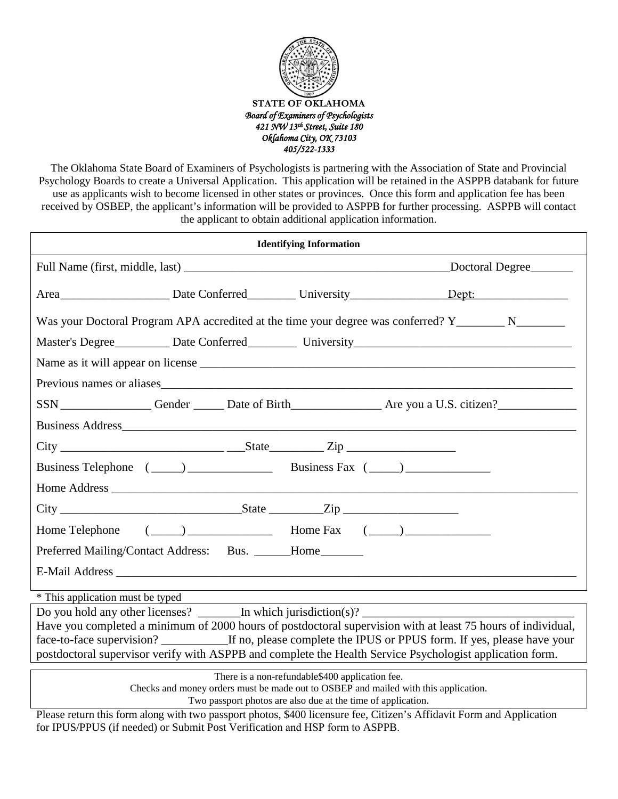

The Oklahoma State Board of Examiners of Psychologists is partnering with the Association of State and Provincial Psychology Boards to create a Universal Application. This application will be retained in the ASPPB databank for future use as applicants wish to become licensed in other states or provinces. Once this form and application fee has been received by OSBEP, the applicant's information will be provided to ASPPB for further processing. ASPPB will contact the applicant to obtain additional application information.

| <b>Identifying Information</b>                                                                                                                                                                                                                                                                                                                                                                                       |  |
|----------------------------------------------------------------------------------------------------------------------------------------------------------------------------------------------------------------------------------------------------------------------------------------------------------------------------------------------------------------------------------------------------------------------|--|
| Doctoral Degree                                                                                                                                                                                                                                                                                                                                                                                                      |  |
|                                                                                                                                                                                                                                                                                                                                                                                                                      |  |
| Was your Doctoral Program APA accredited at the time your degree was conferred? Y_________ N________                                                                                                                                                                                                                                                                                                                 |  |
|                                                                                                                                                                                                                                                                                                                                                                                                                      |  |
|                                                                                                                                                                                                                                                                                                                                                                                                                      |  |
| Previous names or aliases                                                                                                                                                                                                                                                                                                                                                                                            |  |
| SSN Gender Date of Birth Are you a U.S. citizen?                                                                                                                                                                                                                                                                                                                                                                     |  |
|                                                                                                                                                                                                                                                                                                                                                                                                                      |  |
| $City$ $\rule{1em}{0.15mm}$ $\rule{1em}{0.15mm}$ $\qquad$ $\qquad$ $\qquad$ $\qquad$ $\qquad$ $\qquad$ $\qquad$ $\qquad$ $\qquad$ $\qquad$ $\qquad$ $\qquad$ $\qquad$ $\qquad$ $\qquad$ $\qquad$ $\qquad$ $\qquad$ $\qquad$ $\qquad$ $\qquad$ $\qquad$ $\qquad$ $\qquad$ $\qquad$ $\qquad$ $\qquad$ $\qquad$ $\qquad$ $\qquad$ $\qquad$                                                                              |  |
|                                                                                                                                                                                                                                                                                                                                                                                                                      |  |
|                                                                                                                                                                                                                                                                                                                                                                                                                      |  |
|                                                                                                                                                                                                                                                                                                                                                                                                                      |  |
| Home Telephone $(\_\_\_\_\_\_\_$ Home Fax $(\_\_\_\_\_\_\_$                                                                                                                                                                                                                                                                                                                                                          |  |
| Preferred Mailing/Contact Address: Bus. _____Home______                                                                                                                                                                                                                                                                                                                                                              |  |
|                                                                                                                                                                                                                                                                                                                                                                                                                      |  |
| * This application must be typed                                                                                                                                                                                                                                                                                                                                                                                     |  |
| Do you hold any other licenses? $\_\_$ In which jurisdiction(s)? $\_\_$<br>Have you completed a minimum of 2000 hours of postdoctoral supervision with at least 75 hours of individual,<br>face-to-face supervision? _____________If no, please complete the IPUS or PPUS form. If yes, please have your<br>postdoctoral supervisor verify with ASPPB and complete the Health Service Psychologist application form. |  |

There is a non-refundable\$400 application fee.

Checks and money orders must be made out to OSBEP and mailed with this application.

Two passport photos are also due at the time of application.

Please return this form along with two passport photos, \$400 licensure fee, Citizen's Affidavit Form and Application for IPUS/PPUS (if needed) or Submit Post Verification and HSP form to ASPPB.